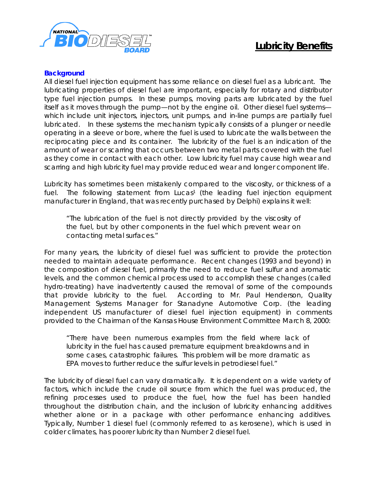

## **Lubricity Benefits**

## **Background**

All diesel fuel injection equipment has some reliance on diesel fuel as a lubricant. The lubricating properties of diesel fuel are important, especially for rotary and distributor type fuel injection pumps. In these pumps, moving parts are lubricated by the fuel itself as it moves through the pump—not by the engine oil. Other diesel fuel systems which include unit injectors, injectors, unit pumps, and in-line pumps are partially fuel lubricated. In these systems the mechanism typically consists of a plunger or needle operating in a sleeve or bore, where the fuel is used to lubricate the walls between the reciprocating piece and its container. The lubricity of the fuel is an indication of the amount of wear or scarring that occurs between two metal parts covered with the fuel as they come in contact with each other. Low lubricity fuel may cause high wear and scarring and high lubricity fuel may provide reduced wear and longer component life.

Lubricity has sometimes been mistakenly compared to the viscosity, or thickness of a fuel. The following statement from Lucas<sup>1</sup> (the leading fuel injection equipment manufacturer in England, that was recently purchased by Delphi) explains it well:

"The lubrication of the fuel is not directly provided by the viscosity of the fuel, but by other components in the fuel which prevent wear on contacting metal surfaces."

For many years, the lubricity of diesel fuel was sufficient to provide the protection needed to maintain adequate performance. Recent changes (1993 and beyond) in the composition of diesel fuel, primarily the need to reduce fuel sulfur and aromatic levels, and the common chemical process used to accomplish these changes (called hydro-treating) have inadvertently caused the removal of some of the compounds that provide lubricity to the fuel. According to Mr. Paul Henderson, Quality Management Systems Manager for Stanadyne Automotive Corp. (the leading independent US manufacturer of diesel fuel injection equipment) in comments provided to the Chairman of the Kansas House Environment Committee March 8, 2000:

"There have been numerous examples from the field where lack of lubricity in the fuel has caused premature equipment breakdowns and in some cases, catastrophic failures. This problem will be more dramatic as EPA moves to further reduce the sulfur levels in petrodiesel fuel."

The lubricity of diesel fuel can vary dramatically. It is dependent on a wide variety of factors, which include the crude oil source from which the fuel was produced, the refining processes used to produce the fuel, how the fuel has been handled throughout the distribution chain, and the inclusion of lubricity enhancing additives whether alone or in a package with other performance enhancing additives. Typically, Number 1 diesel fuel (commonly referred to as kerosene), which is used in colder climates, has poorer lubricity than Number 2 diesel fuel.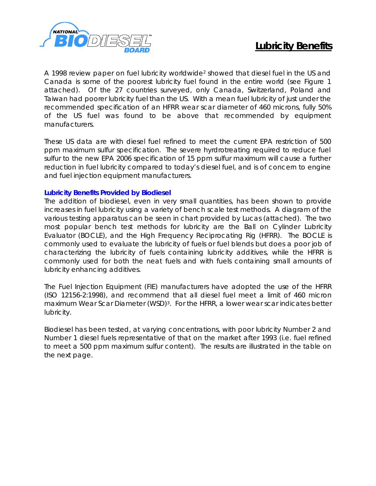

A 1998 review paper on fuel lubricity worldwide<sup>2</sup> showed that diesel fuel in the US and Canada is some of the poorest lubricity fuel found in the entire world (see Figure 1 attached). Of the 27 countries surveyed, only Canada, Switzerland, Poland and Taiwan had poorer lubricity fuel than the US. With a mean fuel lubricity of just under the recommended specification of an HFRR wear scar diameter of 460 microns, fully 50% of the US fuel was found to be above that recommended by equipment manufacturers.

These US data are with diesel fuel refined to meet the current EPA restriction of 500 ppm maximum sulfur specification. The severe hyrdrotreating required to reduce fuel sulfur to the new EPA 2006 specification of 15 ppm sulfur maximum will cause a further reduction in fuel lubricity compared to today's diesel fuel, and is of concern to engine and fuel injection equipment manufacturers.

## **Lubricity Benefits Provided by Biodiesel**

The addition of biodiesel, even in very small quantities, has been shown to provide increases in fuel lubricity using a variety of bench scale test methods. A diagram of the various testing apparatus can be seen in chart provided by Lucas (attached). The two most popular bench test methods for lubricity are the Ball on Cylinder Lubricity Evaluator (BOCLE), and the High Frequency Reciprocating Rig (HFRR). The BOCLE is commonly used to evaluate the lubricity of fuels or fuel blends but does a poor job of characterizing the lubricity of fuels containing lubricity additives, while the HFRR is commonly used for both the neat fuels and with fuels containing small amounts of lubricity enhancing additives.

The Fuel Injection Equipment (FIE) manufacturers have adopted the use of the HFRR (ISO 12156-2:1998), and recommend that all diesel fuel meet a limit of 460 micron maximum Wear Scar Diameter (WSD)<sup>3</sup>. For the HFRR, a lower wear scar indicates better lubricity.

Biodiesel has been tested, at varying concentrations, with poor lubricity Number 2 and Number 1 diesel fuels representative of that on the market after 1993 (i.e. fuel refined to meet a 500 ppm maximum sulfur content). The results are illustrated in the table on the next page.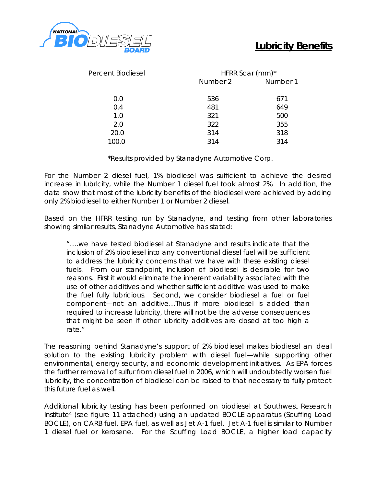

| Percent Biodiesel | HFRR Scar (mm)* |          |
|-------------------|-----------------|----------|
|                   | Number 2        | Number 1 |
| 0.0               | 536             | 671      |
| 0.4               | 481             | 649      |
| 1.0               | 321             | 500      |
| 2.0               | 322             | 355      |
| 20.0              | 314             | 318      |
| 100.0             | 314             | 314      |
|                   |                 |          |

\*Results provided by Stanadyne Automotive Corp.

For the Number 2 diesel fuel, 1% biodiesel was sufficient to achieve the desired increase in lubricity, while the Number 1 diesel fuel took almost 2%. In addition, the data show that most of the lubricity benefits of the biodiesel were achieved by adding only 2% biodiesel to either Number 1 or Number 2 diesel.

Based on the HFRR testing run by Stanadyne, and testing from other laboratories showing similar results, Stanadyne Automotive has stated:

"….we have tested biodiesel at Stanadyne and results indicate that the inclusion of 2% biodiesel into any conventional diesel fuel will be sufficient to address the lubricity concerns that we have with these existing diesel fuels. From our standpoint, inclusion of biodiesel is desirable for two reasons. First it would eliminate the inherent variability associated with the use of other additives and whether sufficient additive was used to make the fuel fully lubricious. Second, we consider biodiesel a fuel or fuel component—not an additive…Thus if more biodiesel is added than required to increase lubricity, there will not be the adverse consequences that might be seen if other lubricity additives are dosed at too high a rate."

The reasoning behind Stanadyne's support of 2% biodiesel makes biodiesel an ideal solution to the existing lubricity problem with diesel fuel—while supporting other environmental, energy security, and economic development initiatives. As EPA forces the further removal of sulfur from diesel fuel in 2006, which will undoubtedly worsen fuel lubricity, the concentration of biodiesel can be raised to that necessary to fully protect this future fuel as well.

Additional lubricity testing has been performed on biodiesel at Southwest Research Institute<sup>4</sup> (see figure 11 attached) using an updated BOCLE apparatus (Scuffing Load BOCLE), on CARB fuel, EPA fuel, as well as Jet A-1 fuel. Jet A-1 fuel is similar to Number 1 diesel fuel or kerosene. For the Scuffing Load BOCLE, a higher load capacity